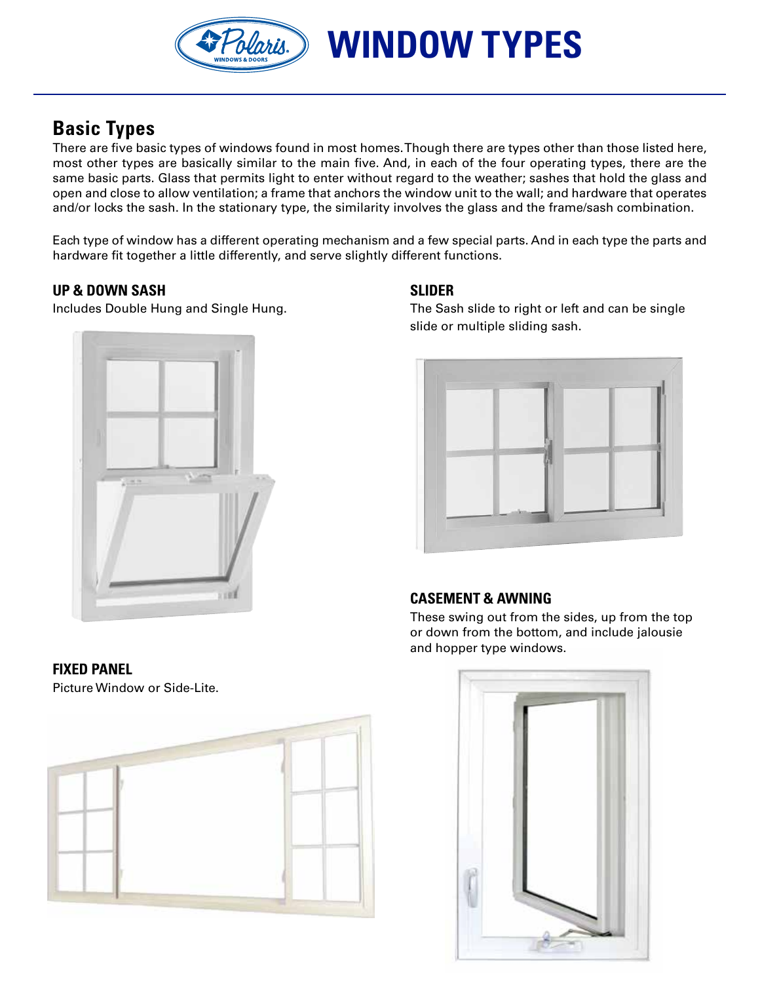olaris.)

# **Basic Types**

There are five basic types of windows found in most homes. Though there are types other than those listed here, most other types are basically similar to the main five. And, in each of the four operating types, there are the same basic parts. Glass that permits light to enter without regard to the weather; sashes that hold the glass and open and close to allow ventilation; a frame that anchors the window unit to the wall; and hardware that operates and/or locks the sash. In the stationary type, the similarity involves the glass and the frame/sash combination.

Each type of window has a different operating mechanism and a few special parts. And in each type the parts and hardware fit together a little differently, and serve slightly different functions.

# **Up & down sash SLIDER**



**WINDOW TYPES**

Includes Double Hung and Single Hung. The Sash slide to right or left and can be single slide or multiple sliding sash.



## **casement & awning**

 These swing out from the sides, up from the top or down from the bottom, and include jalousie and hopper type windows.

## **Fixed PaneL**

Picture Window or Side-Lite.